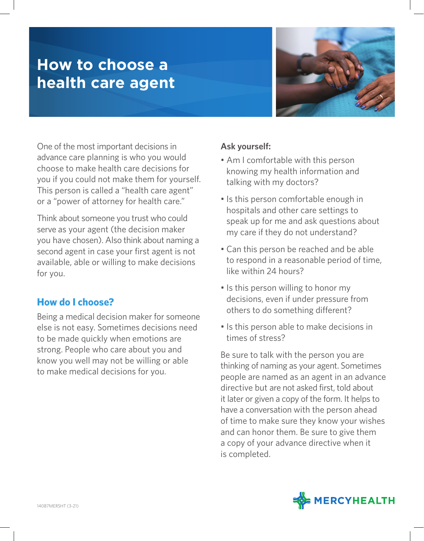# **How to choose a health care agent**



One of the most important decisions in advance care planning is who you would choose to make health care decisions for you if you could not make them for yourself. This person is called a "health care agent" or a "power of attorney for health care."

Think about someone you trust who could serve as your agent (the decision maker you have chosen). Also think about naming a second agent in case your first agent is not available, able or willing to make decisions for you.

### **How do I choose?**

Being a medical decision maker for someone else is not easy. Sometimes decisions need to be made quickly when emotions are strong. People who care about you and know you well may not be willing or able to make medical decisions for you.

#### **Ask yourself:**

- Am I comfortable with this person knowing my health information and talking with my doctors?
- Is this person comfortable enough in hospitals and other care settings to speak up for me and ask questions about my care if they do not understand?
- Can this person be reached and be able to respond in a reasonable period of time, like within 24 hours?
- Is this person willing to honor my decisions, even if under pressure from others to do something different?
- Is this person able to make decisions in times of stress?

Be sure to talk with the person you are thinking of naming as your agent. Sometimes people are named as an agent in an advance directive but are not asked first, told about it later or given a copy of the form. It helps to have a conversation with the person ahead of time to make sure they know your wishes and can honor them. Be sure to give them a copy of your advance directive when it is completed.